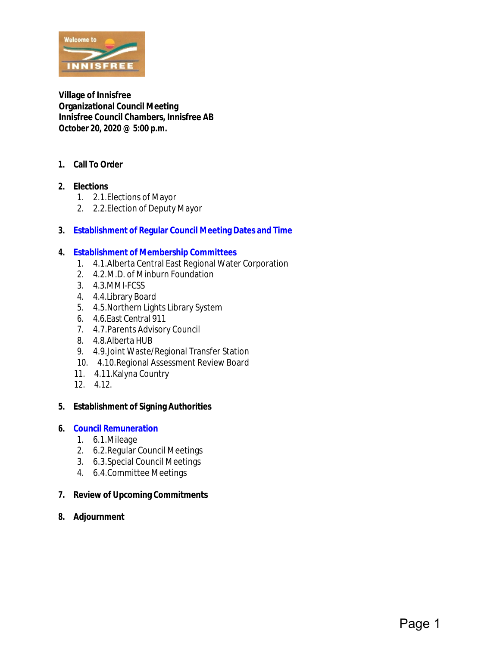

**Village of Innisfree Organizational Council Meeting Innisfree Council Chambers, Innisfree AB October 20, 2020 @ 5:00 p.m.**

- **1. Call To Order**
- **2. Elections**
	- 1. 2.1.Elections of Mayor
	- 2. 2.2.Election of Deputy Mayor
- **3. [Establishment of Regular Council Meeting Dates and Time](#page-1-0)**
- **4. [Establishment of Membership Committees](#page-2-0)**
	- 1. 4.1.Alberta Central East Regional Water Corporation
	- 2. 4.2.M.D. of Minburn Foundation
	- 3. 4.3.MMI-FCSS
	- 4. 4.4.Library Board
	- 5. 4.5.Northern Lights Library System
	- 6. 4.6.East Central 911
	- 7. 4.7.Parents Advisory Council
	- 8. 4.8.Alberta HUB
	- 9. 4.9.Joint Waste/Regional Transfer Station
	- 10. 4.10.Regional Assessment Review Board
	- 11. 4.11.Kalyna Country
	- 12. 4.12.
- **5. Establishment of Signing Authorities**
- **6. [Council Remuneration](#page-3-0)**
	- 1. 6.1.Mileage
	- 2. 6.2.Regular Council Meetings
	- 3. 6.3.Special Council Meetings
	- 4. 6.4.Committee Meetings
- **7. Review of Upcoming Commitments**
- **8. Adjournment**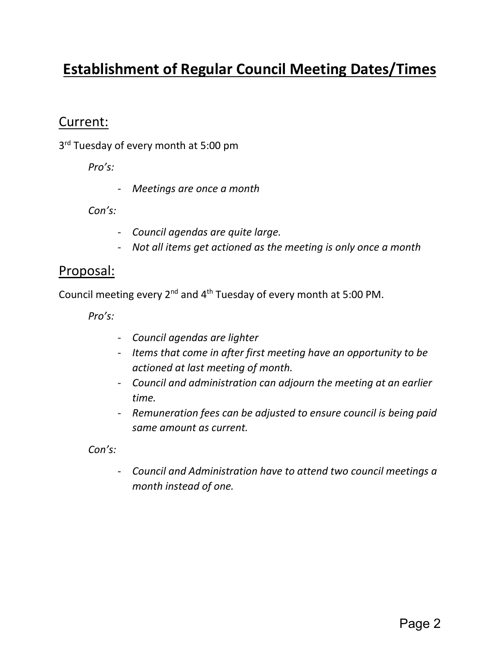## <span id="page-1-0"></span>**Establishment of Regular Council Meeting Dates/Times**

#### Current:

3<sup>rd</sup> Tuesday of every month at 5:00 pm

*Pro's:* 

- *Meetings are once a month*

*Con's:*

- *Council agendas are quite large.*
- *Not all items get actioned as the meeting is only once a month*

#### Proposal:

Council meeting every  $2^{nd}$  and  $4^{th}$  Tuesday of every month at 5:00 PM.

*Pro's:*

- *Council agendas are lighter*
- *Items that come in after first meeting have an opportunity to be actioned at last meeting of month.*
- *Council and administration can adjourn the meeting at an earlier time.*
- *Remuneration fees can be adjusted to ensure council is being paid same amount as current.*

*Con's:*

- *Council and Administration have to attend two council meetings a month instead of one.*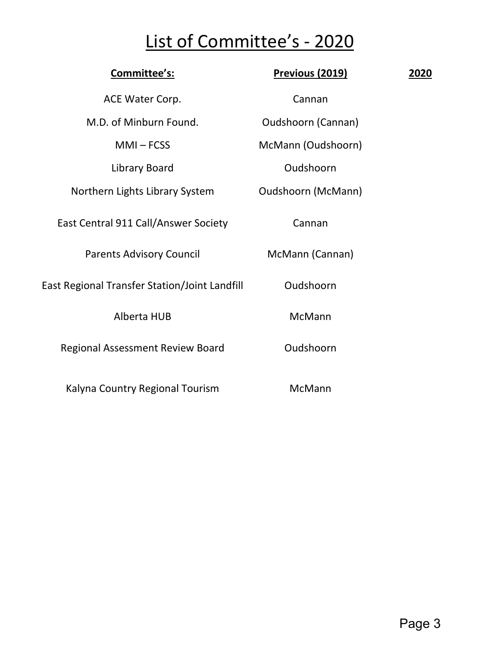# List of Committee's - 2020

<span id="page-2-0"></span>

| Committee's:                                  | <b>Previous (2019)</b>    | 2020 |
|-----------------------------------------------|---------------------------|------|
| ACE Water Corp.                               | Cannan                    |      |
| M.D. of Minburn Found.                        | <b>Oudshoorn (Cannan)</b> |      |
| $MMI - FCSS$                                  | McMann (Oudshoorn)        |      |
| Library Board                                 | Oudshoorn                 |      |
| Northern Lights Library System                | <b>Oudshoorn (McMann)</b> |      |
| East Central 911 Call/Answer Society          | Cannan                    |      |
| <b>Parents Advisory Council</b>               | McMann (Cannan)           |      |
| East Regional Transfer Station/Joint Landfill | Oudshoorn                 |      |
| <b>Alberta HUB</b>                            | McMann                    |      |
| <b>Regional Assessment Review Board</b>       | Oudshoorn                 |      |
| Kalyna Country Regional Tourism               | McMann                    |      |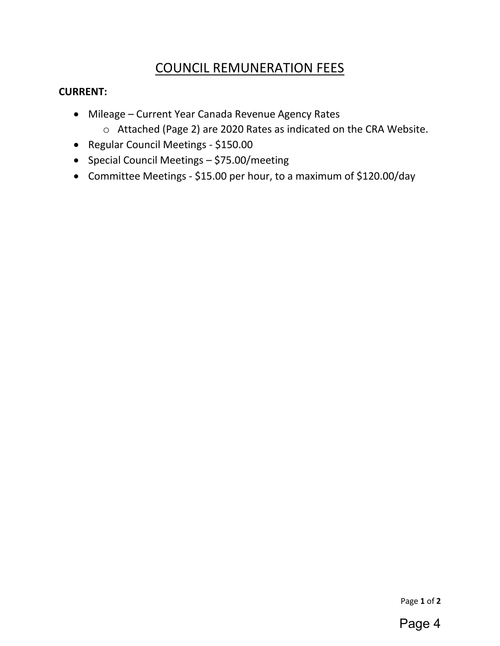#### COUNCIL REMUNERATION FEES

#### <span id="page-3-0"></span>**CURRENT:**

- Mileage Current Year Canada Revenue Agency Rates
	- o Attached (Page 2) are 2020 Rates as indicated on the CRA Website.
- Regular Council Meetings \$150.00
- Special Council Meetings \$75.00/meeting
- Committee Meetings \$15.00 per hour, to a maximum of \$120.00/day